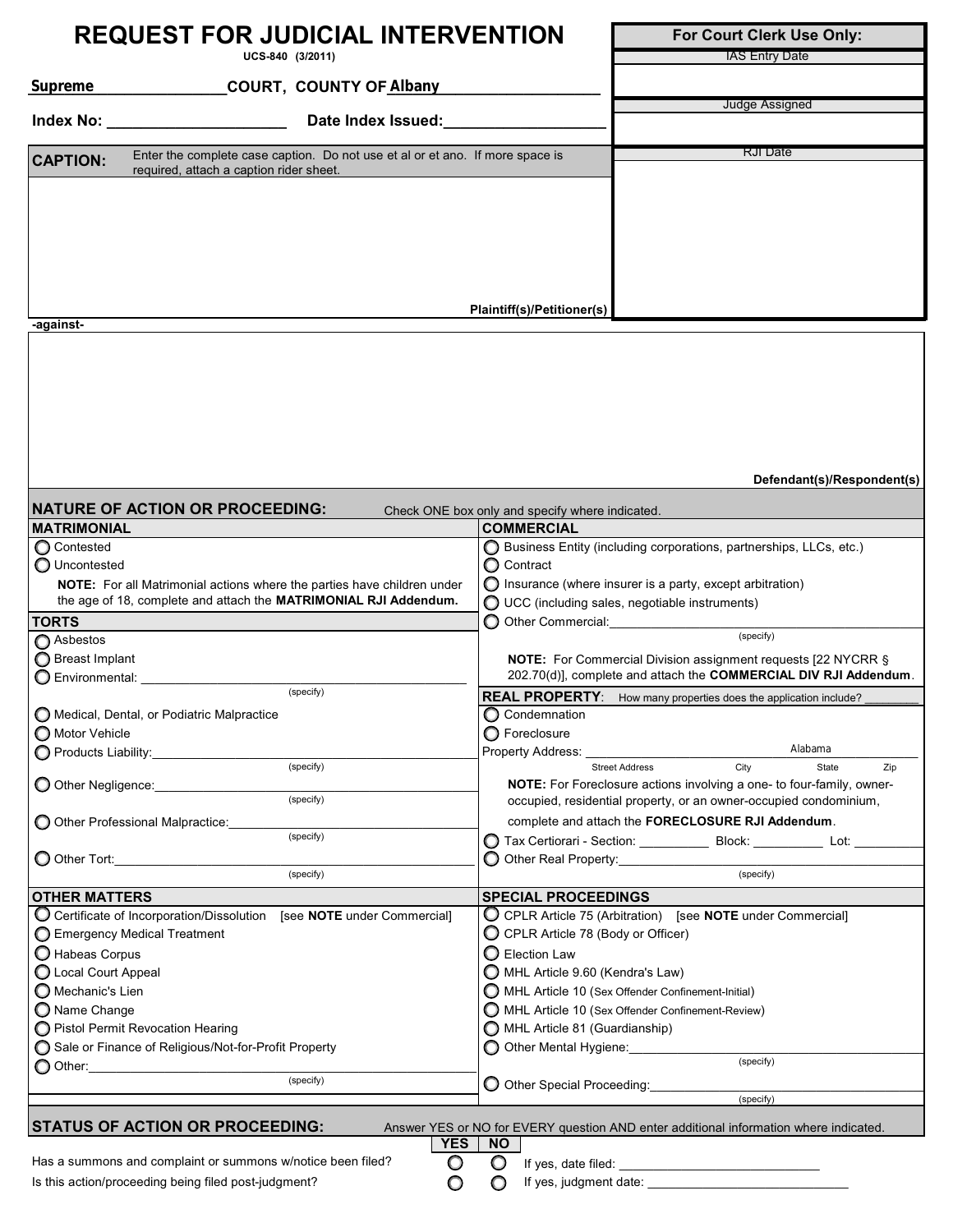| <b>REQUEST FOR JUDICIAL INTERVENTION</b>                                                         | For Court Clerk Use Only:                                                                                                                         |
|--------------------------------------------------------------------------------------------------|---------------------------------------------------------------------------------------------------------------------------------------------------|
| UCS-840 (3/2011)                                                                                 | IAS Entry Date                                                                                                                                    |
| Supreme<br>COURT, COUNTY OF Albany                                                               |                                                                                                                                                   |
|                                                                                                  | Judge Assigned                                                                                                                                    |
| Date Index Issued:<br><b>Index No: Example 20</b>                                                |                                                                                                                                                   |
| Enter the complete case caption. Do not use et al or et ano. If more space is<br><b>CAPTION:</b> | RJI Date                                                                                                                                          |
| required, attach a caption rider sheet.                                                          |                                                                                                                                                   |
|                                                                                                  |                                                                                                                                                   |
|                                                                                                  |                                                                                                                                                   |
|                                                                                                  |                                                                                                                                                   |
|                                                                                                  |                                                                                                                                                   |
|                                                                                                  |                                                                                                                                                   |
|                                                                                                  |                                                                                                                                                   |
| -against-                                                                                        | Plaintiff(s)/Petitioner(s)                                                                                                                        |
|                                                                                                  |                                                                                                                                                   |
|                                                                                                  |                                                                                                                                                   |
|                                                                                                  |                                                                                                                                                   |
|                                                                                                  |                                                                                                                                                   |
|                                                                                                  |                                                                                                                                                   |
|                                                                                                  |                                                                                                                                                   |
|                                                                                                  |                                                                                                                                                   |
|                                                                                                  |                                                                                                                                                   |
|                                                                                                  | Defendant(s)/Respondent(s)                                                                                                                        |
| <b>NATURE OF ACTION OR PROCEEDING:</b>                                                           |                                                                                                                                                   |
| <b>MATRIMONIAL</b>                                                                               | Check ONE box only and specify where indicated.<br><b>COMMERCIAL</b>                                                                              |
| Contested                                                                                        | Business Entity (including corporations, partnerships, LLCs, etc.)                                                                                |
| O Uncontested                                                                                    | O Contract                                                                                                                                        |
| NOTE: For all Matrimonial actions where the parties have children under                          | $\bigcirc$ Insurance (where insurer is a party, except arbitration)                                                                               |
| the age of 18, complete and attach the MATRIMONIAL RJI Addendum.                                 | $\bigcirc$ UCC (including sales, negotiable instruments)                                                                                          |
| <b>TORTS</b>                                                                                     | O Other Commercial: <b>O Other Commercial</b>                                                                                                     |
| Asbestos                                                                                         | (specify)                                                                                                                                         |
| ◯ Breast Implant                                                                                 | <b>NOTE:</b> For Commercial Division assignment requests [22 NYCRR §                                                                              |
| O Environmental: New York Contractor                                                             | 202.70(d)], complete and attach the COMMERCIAL DIV RJI Addendum.                                                                                  |
| (specify)                                                                                        | <b>REAL PROPERTY:</b><br>How many properties does the application include?                                                                        |
| O Medical, Dental, or Podiatric Malpractice                                                      | ◯ Condemnation                                                                                                                                    |
| ◯ Motor Vehicle                                                                                  | O Foreclosure                                                                                                                                     |
| Products Liability:_______________                                                               | Alabama<br>Property Address:                                                                                                                      |
| (specify)                                                                                        | City<br><b>Street Address</b><br>State<br>Zip                                                                                                     |
| O Other Negligence:<br>(specify)                                                                 | <b>NOTE:</b> For Foreclosure actions involving a one- to four-family, owner-<br>occupied, residential property, or an owner-occupied condominium, |
| O Other Professional Malpractice:                                                                | complete and attach the FORECLOSURE RJI Addendum.                                                                                                 |
| (specify)                                                                                        | ◯ Tax Certiorari - Section: _____________ Block: ___________ Lot: ________                                                                        |
| O Other Tort:                                                                                    | O Other Real Property:                                                                                                                            |
| (specify)                                                                                        | (specify)                                                                                                                                         |
| <b>OTHER MATTERS</b>                                                                             | <b>SPECIAL PROCEEDINGS</b>                                                                                                                        |
| C Certificate of Incorporation/Dissolution [see NOTE under Commercial]                           | O CPLR Article 75 (Arbitration) [see NOTE under Commercial]                                                                                       |
| Emergency Medical Treatment                                                                      | C CPLR Article 78 (Body or Officer)                                                                                                               |
| Habeas Corpus                                                                                    | <b>O</b> Election Law                                                                                                                             |
| C Local Court Appeal                                                                             | MHL Article 9.60 (Kendra's Law)                                                                                                                   |
| O Mechanic's Lien                                                                                | MHL Article 10 (Sex Offender Confinement-Initial)                                                                                                 |
| ◯ Name Change                                                                                    | MHL Article 10 (Sex Offender Confinement-Review)                                                                                                  |
| O Pistol Permit Revocation Hearing                                                               | MHL Article 81 (Guardianship)                                                                                                                     |
| Sale or Finance of Religious/Not-for-Profit Property                                             | O Other Mental Hygiene:                                                                                                                           |
| ◯ Other:_______________________                                                                  | (specify)                                                                                                                                         |
| (specify)                                                                                        | O Other Special Proceeding:                                                                                                                       |
|                                                                                                  | (specify)                                                                                                                                         |

**STATUS OF ACTION OR PROCEEDING:** Answer YES or NO for EVERY question AND enter additional information where indicated.

 $\circ$  $\overline{O}$ 

Has a summons and complaint or summons w/notice been filed?  $\Box$   $\Box$  If yes, date filed: Is this action/proceeding being filed post-judgment? If yes, judgment date: \_

**YES NO**